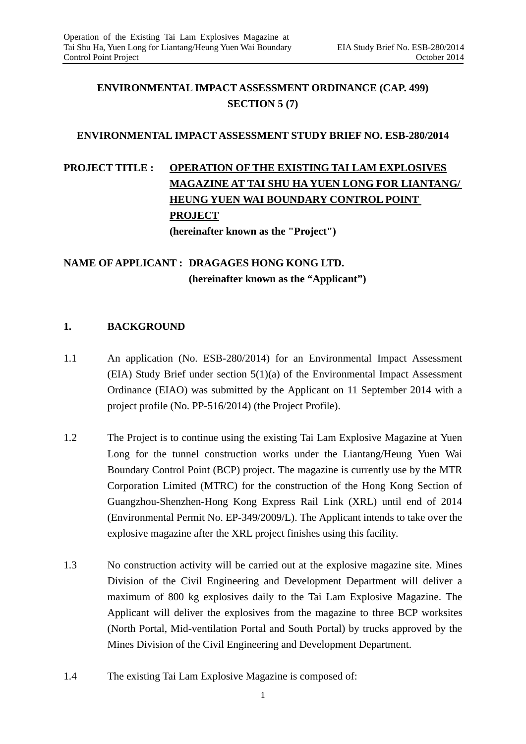# **ENVIRONMENTAL IMPACT ASSESSMENT ORDINANCE (CAP. 499) SECTION 5 (7)**

# **ENVIRONMENTAL IMPACT ASSESSMENT STUDY BRIEF NO. ESB-280/2014**

# **PROJECT TITLE: <u>OPERATION OF THE EXISTING TAI LAM EXPLOSIVES</u> MAGAZINE AT TAI SHU HA YUEN LONG FOR LIANTANG/ HEUNG YUEN WAI BOUNDARY CONTROL POINT PROJECT (hereinafter known as the "Project")**

**NAME OF APPLICANT : DRAGAGES HONG KONG LTD. (hereinafter known as the "Applicant")** 

# **1. BACKGROUND**

- $1.1$ An application (No. ESB-280/2014) for an Environmental Impact Assessment  $(EIA)$  Study Brief under section  $5(1)(a)$  of the Environmental Impact Assessment Ordinance (EIAO) was submitted by the Applicant on 11 September 2014 with a project profile (No. PP-516/2014) (the Project Profile).
- $1.2$ The Project is to continue using the existing Tai Lam Explosive Magazine at Yuen Long for the tunnel construction works under the Liantang/Heung Yuen Wai Boundary Control Point (BCP) project. The magazine is currently use by the MTR Corporation Limited (MTRC) for the construction of the Hong Kong Section of Guangzhou-Shenzhen-Hong Kong Express Rail Link (XRL) until end of 2014 (Environmental Permit No. EP-349/2009/L). The Applicant intends to take over the explosive magazine after the XRL project finishes using this facility.
- $1.3$ No construction activity will be carried out at the explosive magazine site. Mines Division of the Civil Engineering and Development Department will deliver a maximum of 800 kg explosives daily to the Tai Lam Explosive Magazine. The Applicant will deliver the explosives from the magazine to three BCP worksites (North Portal, Mid-ventilation Portal and South Portal) by trucks approved by the Mines Division of the Civil Engineering and Development Department.
- $1.4$ The existing Tai Lam Explosive Magazine is composed of: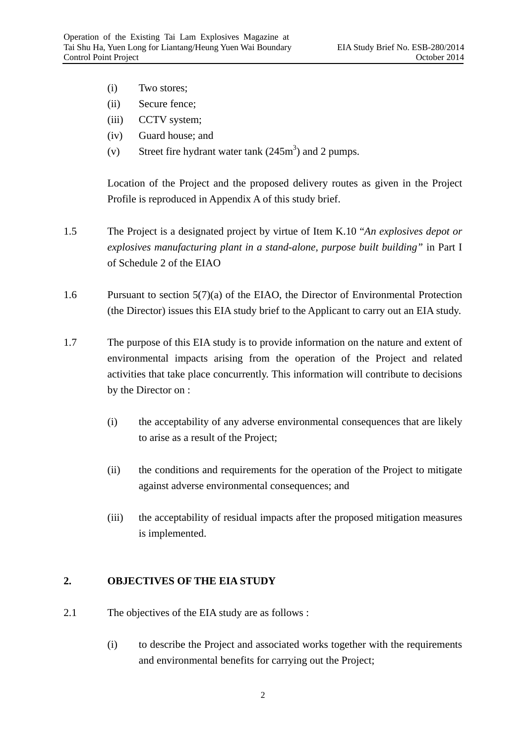- (i) Two stores;
- (ii) Secure fence;
- (iii) CCTV system;
- $(iv)$ Guard house; and
- $(v)$ (v) Street fire hydrant water tank  $(245m^3)$  and 2 pumps.

Location of the Project and the proposed delivery routes as given in the Project Profile is reproduced in Appendix A of this study brief.

- $1.5$ The Project is a designated project by virtue of Item K.10 "*An explosives depot or explosives manufacturing plant in a stand-alone, purpose built building"* in Part I of Schedule 2 of the EIAO
- 1.6 Pursuant to section  $5(7)(a)$  of the EIAO, the Director of Environmental Protection (the Director) issues this EIA study brief to the Applicant to carry out an EIA study.
- 1.7 The purpose of this EIA study is to provide information on the nature and extent of environmental impacts arising from the operation of the Project and related activities that take place concurrently. This information will contribute to decisions by the Director on :
	- $(i)$ the acceptability of any adverse environmental consequences that are likely to arise as a result of the Project;
	- $(ii)$ the conditions and requirements for the operation of the Project to mitigate against adverse environmental consequences; and
	- $(iii)$ the acceptability of residual impacts after the proposed mitigation measures is implemented.

#### $2.$ **2.OBJECTIVES OF THE EIA STUDY**

- $2.1$ The objectives of the EIA study are as follows :
	- $(i)$ to describe the Project and associated works together with the requirements and environmental benefits for carrying out the Project;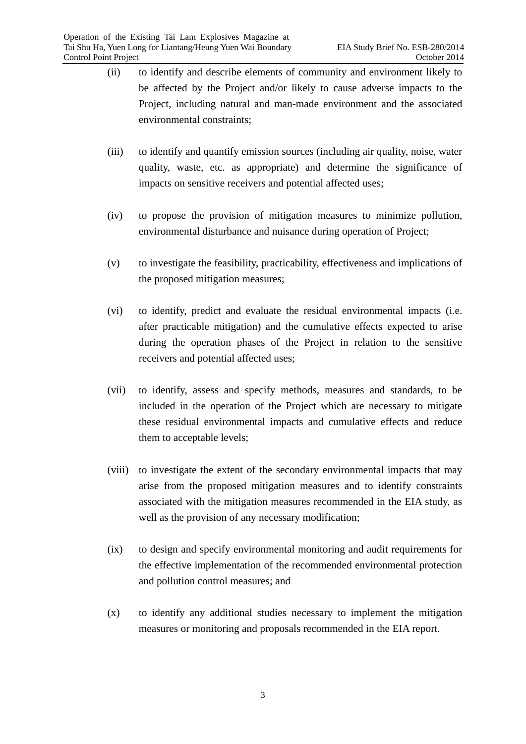- <span id="page-2-0"></span> $(ii)$ to identify and describe elements of community and environment likely to be affected by the Project and/or likely to cause adverse impacts to the Project, including natural and man-made environment and the associated environmental constraints;
- $(iii)$ to identify and quantify emission sources (including air quality, noise, water quality, waste, etc. as appropriate) and determine the significance of impacts on sensitive receivers and potential affected uses;
- $(iv)$ to propose the provision of mitigation measures to minimize pollution, environmental disturbance and nuisance during operation of Project;
- $(v)$ to investigate the feasibility, practicability, effectiveness and implications of the proposed mitigation measures;
- $(vi)$ to identify, predict and evaluate the residual environmental impacts (i.e. after practicable mitigation) and the cumulative effects expected to arise during the operation phases of the Project in relation to the sensitive receivers and potential affected uses;
- $(vii)$ to identify, assess and specify methods, measures and standards, to be included in the operation of the Project which are necessary to mitigate these residual environmental impacts and cumulative effects and reduce them to acceptable levels;
- $(viii)$ to investigate the extent of the secondary environmental impacts that may arise from the proposed mitigation measures and to identify constraints associated with the mitigation measures recommended in the EIA study, as well as the provision of any necessary modification;
- $(ix)$ to design and specify environmental monitoring and audit requirements for the effective implementation of the recommended environmental protection and pollution control measures; and
- $(x)$ to identify any additional studies necessary to implement the mitigation measures or monitoring and proposals recommended in the EIA report.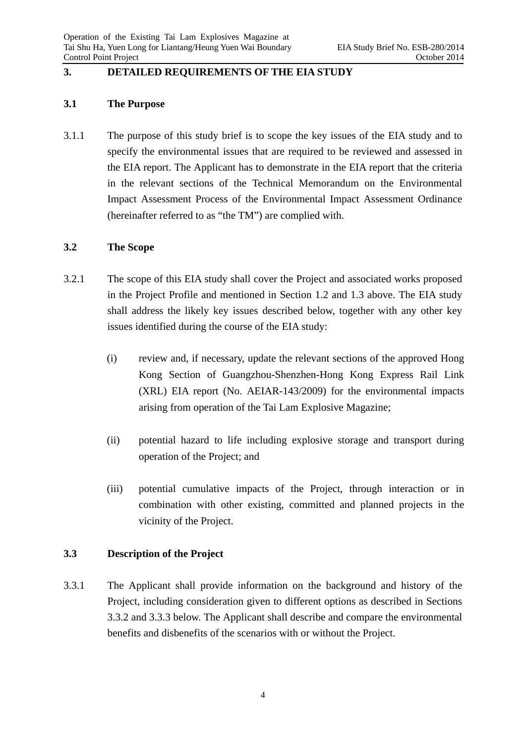#### $3.$ **3.DETAILED REQUIREMENTS OF THE EIA STUDY**

# **3.1 The Purpose**

3.1.1 The purpose of this study brief is to scope the key issues of the EIA study and to specify the environmental issues that are required to be reviewed and assessed in the EIA report. The Applicant has to demonstrate in the EIA report that the criteria in the relevant sections of the Technical Memorandum on the Environmental Impact Assessment Process of the Environmental Impact Assessment Ordinance (hereinafter referred to as "the TM") are complied with.

## **3.2 The Scope**

- 3.2.1 The scope of this EIA study shall cover the Project and associated works proposed in the Project Profile and mentioned in Section 1.2 and 1.3 above. The EIA study shall address the likely key issues described below, together with any other key issues identified during the course of the EIA study:
	- $(i)$ review and, if necessary, update the relevant sections of the approved Hong Kong Section of Guangzhou-Shenzhen-Hong Kong Express Rail Link (XRL) EIA report (No. AEIAR-143/2009) for the environmental impacts arising from operation of the Tai Lam Explosive Magazine;
	- $(ii)$ potential hazard to life including explosive storage and transport during operation of the Project; and
	- $(iii)$ potential cumulative impacts of the Project, through interaction or in combination with other existing, committed and planned projects in the vicinity of the Project.

# **3.3 Description of the Project**

3.3.1 The Applicant shall provide information on the background and history of the Project, including consideration given to different options as described in Sections 3.3.2 and 3.3.3 below. The Applicant shall describe and compare the environmental benefits and disbenefits of the scenarios with or without the Project.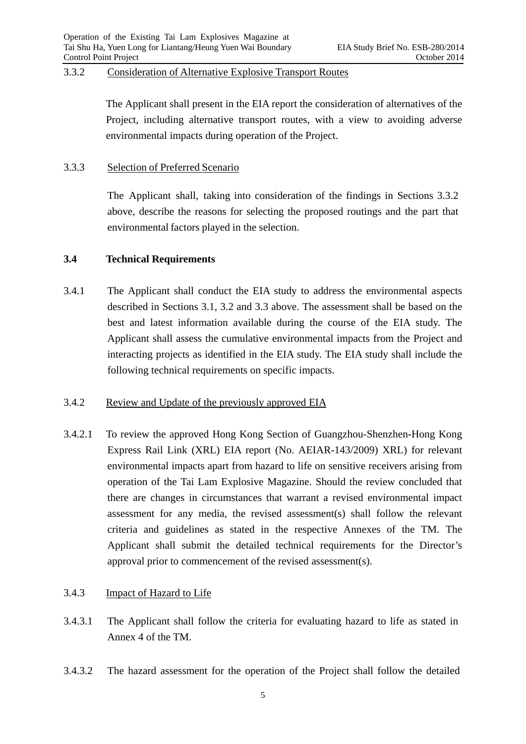### 3.3.2 Consideration of Alternative Explosive Transport Routes

The Applicant shall present in the EIA report the consideration of alternatives of the Project, including alternative transport routes, with a view to avoiding adverse environmental impacts during operation of the Project.

### 3.3.3 Selection of Preferred Scenario

The Applicant shall, taking into consideration of the findings in Sections 3.3.2 above, describe the reasons for selecting the proposed routings and the part that environmental factors played in the selection.

# **3.4 Technical Requirements**

3.4.1 The Applicant shall conduct the EIA study to address the environmental aspects described in Sections 3.1, 3.2 and 3.3 above. The assessment shall be based on the best and latest information available during the course of the EIA study. The Applicant shall assess the cumulative environmental impacts from the Project and interacting projects as identified in the EIA study. The EIA study shall include the following technical requirements on specific impacts.

#### $3.4.2$ Review and Update of the previously approved EIA

 $3.4.2.1$ 3.4.2.1To review the approved Hong Kong Section of Guangzhou-Shenzhen-Hong Kong Express Rail Link (XRL) EIA report (No. AEIAR-143/2009) XRL) for relevant environmental impacts apart from hazard to life on sensitive receivers arising from operation of the Tai Lam Explosive Magazine. Should the review concluded that there are changes in circumstances that warrant a revised environmental impact assessment for any media, the revised assessment(s) shall follow the relevant criteria and guidelines as stated in the respective Annexes of the TM. The Applicant shall submit the detailed technical requirements for the Director's approval prior to commencement of the revised assessment(s).

### 3.4.3 Impact of Hazard to Life

- 3.4.3.1 The Applicant shall follow the criteria for evaluating hazard to life as stated in Annex 4 of the TM.
- 3.4.3.2 The hazard assessment for the operation of the Project shall follow the detailed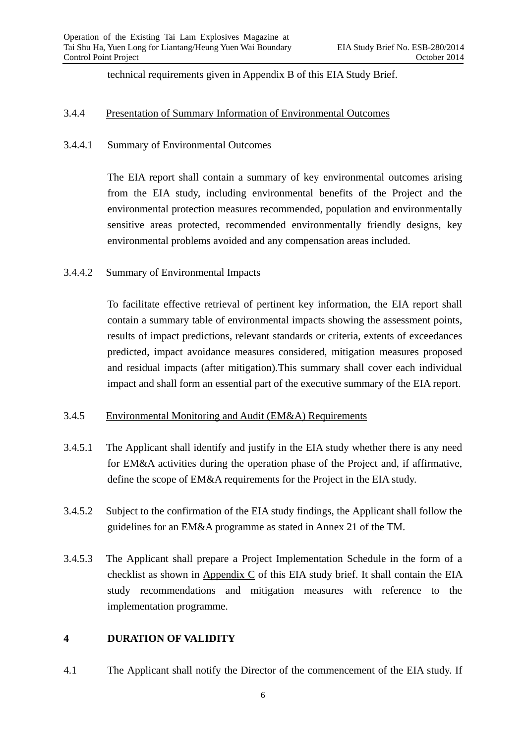technical requirements given in Appendix B of this EIA Study Brief.

### 3.4.4 Presentation of Summary Information of Environmental Outcomes

### 3.4.4.1 Summary of Environmental Outcomes

The EIA report shall contain a summary of key environmental outcomes arising from the EIA study, including environmental benefits of the Project and the environmental protection measures recommended, population and environmentally sensitive areas protected, recommended environmentally friendly designs, key environmental problems avoided and any compensation areas included.

## 3.4.4.2 Summary of Environmental Impacts

To facilitate effective retrieval of pertinent key information, the EIA report shall contain a summary table of environmental impacts showing the assessment points, results of impact predictions, relevant standards or criteria, extents of exceedances predicted, impact avoidance measures considered, mitigation measures proposed and residual impacts (after mitigation).This summary shall cover each individual impact and shall form an essential part of the executive summary of the EIA report.

#### $3.4.5$ Environmental Monitoring and Audit (EM&A) Requirements

- 3.4.5.1 The Applicant shall identify and justify in the EIA study whether there is any need for EM&A activities during the operation phase of the Project and, if affirmative, define the scope of EM&A requirements for the Project in the EIA study.
- 3.4.5.2 Subject to the confirmation of the EIA study findings, the Applicant shall follow the guidelines for an EM&A programme as stated in Annex 21 of the TM.
- $3.4.5.3$ The Applicant shall prepare a Project Implementation Schedule in the form of a checklist as shown in Appendix C of this EIA study brief. It shall contain the EIA study recommendations and mitigation measures with reference to the implementation programme.

# **4 DURATION OF VALIDITY**

4.1 The Applicant shall notify the Director of the commencement of the EIA study. If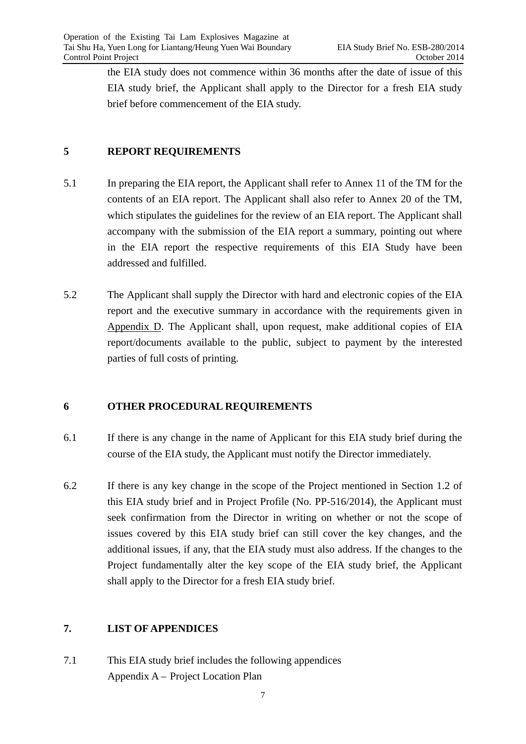the EIA study does not commence within 36 months after the date of issue of this EIA study brief, the Applicant shall apply to the Director for a fresh EIA study brief before commencement of the EIA study.

## **5 REPORT REQUIREMENTS**

- $5.1$ In preparing the EIA report, the Applicant shall refer to Annex 11 of the TM for the contents of an EIA report. The Applicant shall also refer to Annex 20 of the TM, which stipulates the guidelines for the review of an EIA report. The Applicant shall accompany with the submission of the EIA report a summary, pointing out where in the EIA report the respective requirements of this EIA Study have been addressed and fulfilled.
- $5.2$ The Applicant shall supply the Director with hard and electronic copies of the EIA report and the executive summary in accordance with the requirements given in Appendix D. The Applicant shall, upon request, make additional copies of EIA report/documents available to the public, subject to payment by the interested parties of full costs of printing.

#### 6 **6OTHER PROCEDURAL REQUIREMENTS**

- 6.1 If there is any change in the name of Applicant for this EIA study brief during the course of the EIA study, the Applicant must notify the Director immediately.
- 6.2 If there is any key change in the scope of the Project mentioned in Section 1.2 of this EIA study brief and in Project Profile (No. PP-516/2014), the Applicant must seek confirmation from the Director in writing on whether or not the scope of issues covered by this EIA study brief can still cover the key changes, and the additional issues, if any, that the EIA study must also address. If the changes to the Project fundamentally alter the key scope of the EIA study brief, the Applicant shall apply to the Director for a fresh EIA study brief.

#### 7. **7.LIST OF APPENDICES**

7.1 This EIA study brief includes the following appendices Appendix A – Project Location Plan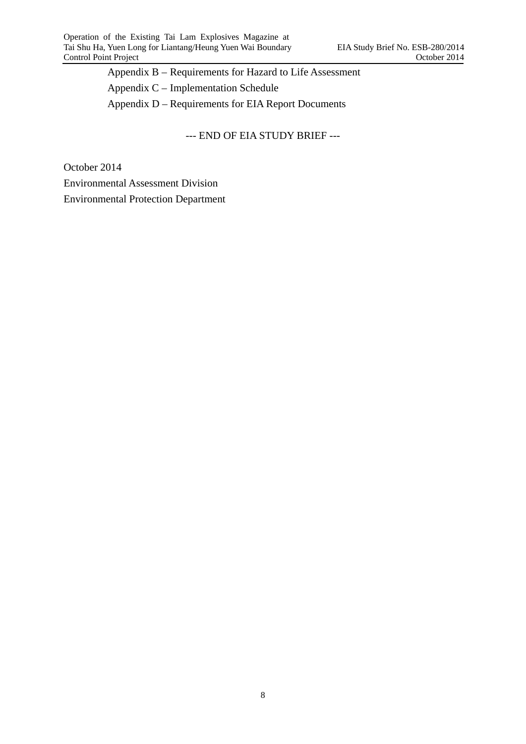Appendix B – Requirements for Hazard to Life Assessment Appendix C – Implementation Schedule Appendix D – Requirements for EIA Report Documents

--- END OF EIA STUDY BRIEF ---

October 2014

Environmental Assessment Division

Environmental Protection Department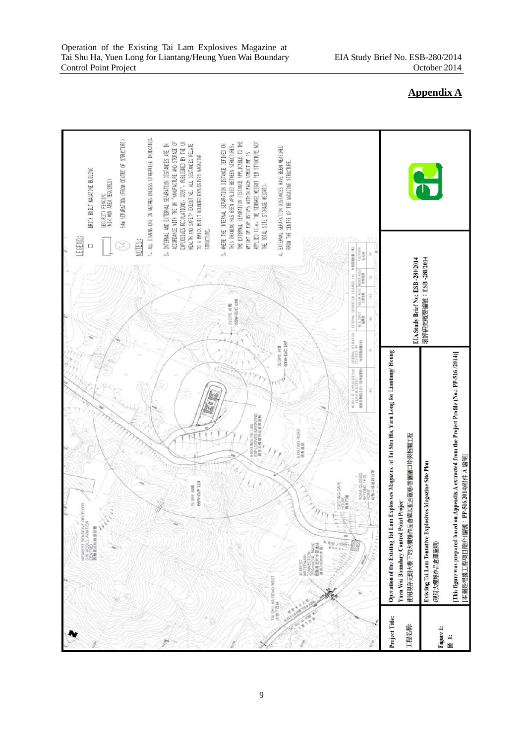

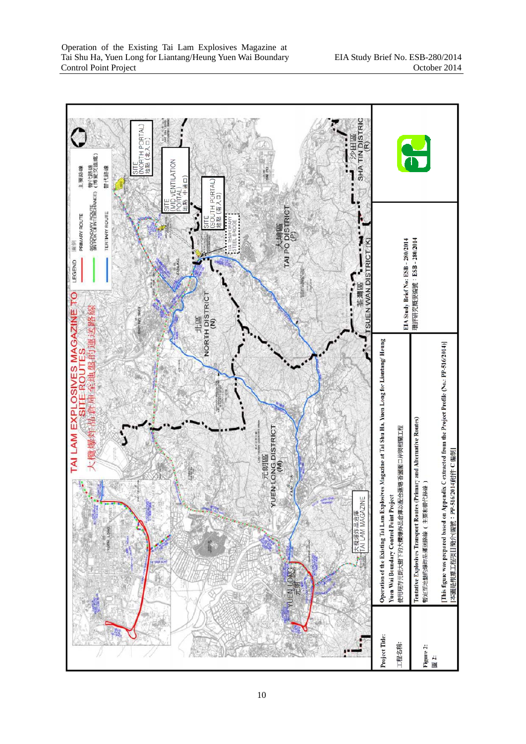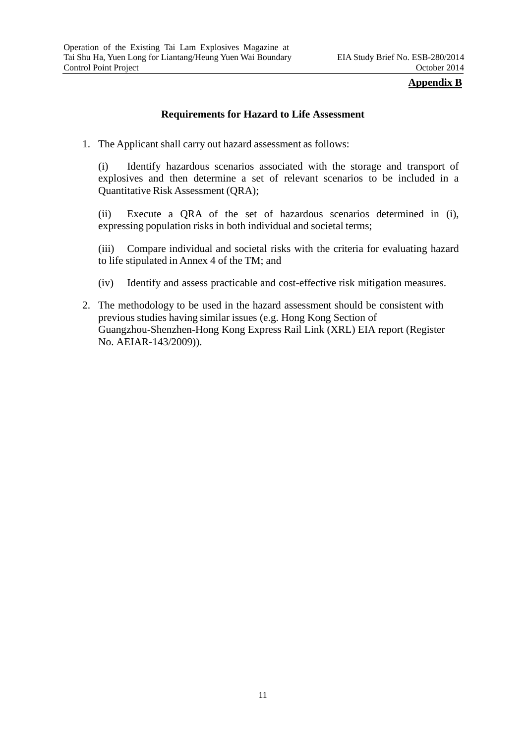# **Appendix B**

# **Requirements for Hazard to Life Assessment**

 1.The Applicant shall carry out hazard assessment as follows:

 explosives and then determine a set of relevant scenarios to be included in a (i) Identify hazardous scenarios associated with the storage and transport of Quantitative Risk Assessment (QRA);

(ii) Execute a QRA of the set of hazardous scenarios determined in (i), expressing population risks in both individual and societal terms;

 (iii) Compare individual and societal risks with the criteria for evaluating hazard to life stipulated in Annex 4 of the TM; and

- $(iv)$ Identify and assess practicable and cost-effective risk mitigation measures.
- 2.The methodology to be used in the hazard assessment should be consistent with previous studies having similar issues (e.g. Hong Kong Section of Guangzhou-Shenzhen-Hong Kong Express Rail Link (XRL) EIA report (Register No. AEIAR-143/2009)).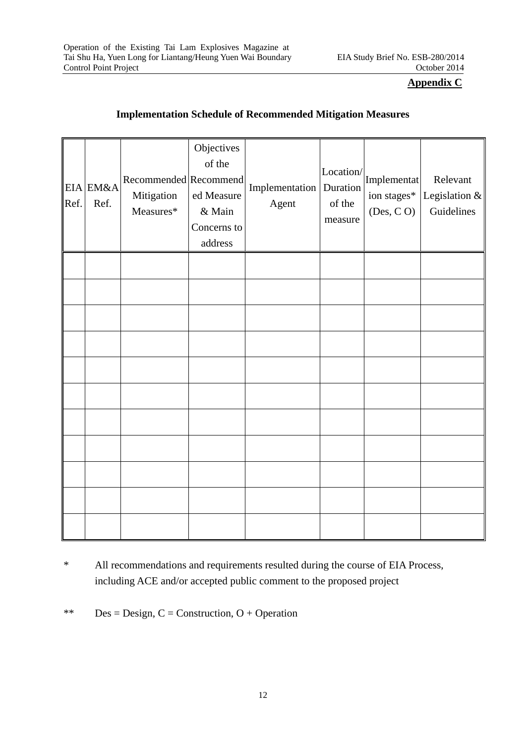# **Appendix C**

| Ref. | EIA EM&A<br>Ref. | Recommended Recommend<br>Mitigation<br>Measures* | Objectives<br>of the<br>ed Measure<br>& Main<br>Concerns to<br>address | Implementation   Duration<br>Agent | Location/<br>of the<br>measure | Implementat<br>ion stages*<br>(Des, C O) | Relevant<br>Legislation &<br>Guidelines |
|------|------------------|--------------------------------------------------|------------------------------------------------------------------------|------------------------------------|--------------------------------|------------------------------------------|-----------------------------------------|
|      |                  |                                                  |                                                                        |                                    |                                |                                          |                                         |
|      |                  |                                                  |                                                                        |                                    |                                |                                          |                                         |
|      |                  |                                                  |                                                                        |                                    |                                |                                          |                                         |
|      |                  |                                                  |                                                                        |                                    |                                |                                          |                                         |
|      |                  |                                                  |                                                                        |                                    |                                |                                          |                                         |
|      |                  |                                                  |                                                                        |                                    |                                |                                          |                                         |
|      |                  |                                                  |                                                                        |                                    |                                |                                          |                                         |
|      |                  |                                                  |                                                                        |                                    |                                |                                          |                                         |
|      |                  |                                                  |                                                                        |                                    |                                |                                          |                                         |
|      |                  |                                                  |                                                                        |                                    |                                |                                          |                                         |
|      |                  |                                                  |                                                                        |                                    |                                |                                          |                                         |

# **Implementation Schedule of Recommended Mitigation Measures**

\* All recommendations and requirements resulted during the course of EIA Process, including ACE and/or accepted public comment to the proposed project

\*\* Des = Design,  $C =$  Construction,  $O +$  Operation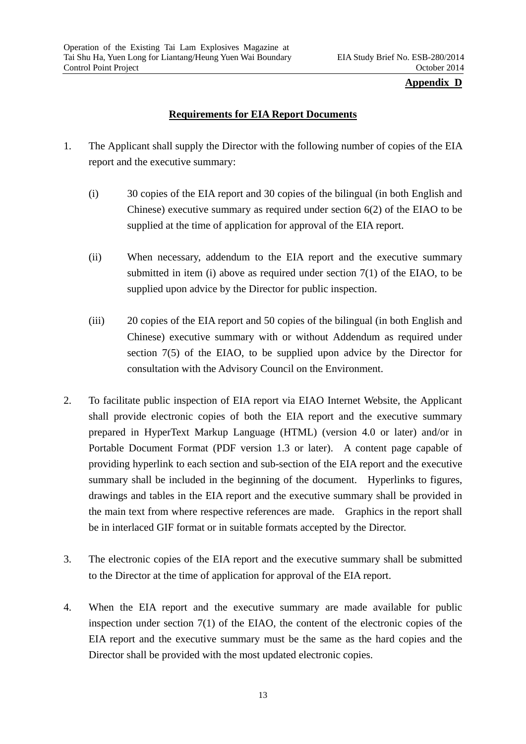### **Appendix D**

# **Requirements for EIA Report Documents**

- 1. The Applicant shall supply the Director with the following number of copies of the EIA report and the executive summary:
	- (i) 30 copies of the EIA report and 30 copies of the bilingual (in both English and Chinese) executive summary as required under section 6(2) of the EIAO to be supplied at the time of application for approval of the EIA report.
	- (ii) When necessary, addendum to the EIA report and the executive summary submitted in item (i) above as required under section  $7(1)$  of the EIAO, to be supplied upon advice by the Director for public inspection.
	- (iii) 20 copies of the EIA report and 50 copies of the bilingual (in both English and Chinese) executive summary with or without Addendum as required under section 7(5) of the EIAO, to be supplied upon advice by the Director for consultation with the Advisory Council on the Environment.
- 2. To facilitate public inspection of EIA report via EIAO Internet Website, the Applicant shall provide electronic copies of both the EIA report and the executive summary prepared in HyperText Markup Language (HTML) (version 4.0 or later) and/or in Portable Document Format (PDF version 1.3 or later). A content page capable of providing hyperlink to each section and sub-section of the EIA report and the executive summary shall be included in the beginning of the document. Hyperlinks to figures, drawings and tables in the EIA report and the executive summary shall be provided in the main text from where respective references are made. Graphics in the report shall be in interlaced GIF format or in suitable formats accepted by the Director.
- 3. The electronic copies of the EIA report and the executive summary shall be submitted to the Director at the time of application for approval of the EIA report.
- 4. When the EIA report and the executive summary are made available for public inspection under section 7(1) of the EIAO, the content of the electronic copies of the EIA report and the executive summary must be the same as the hard copies and the Director shall be provided with the most updated electronic copies.